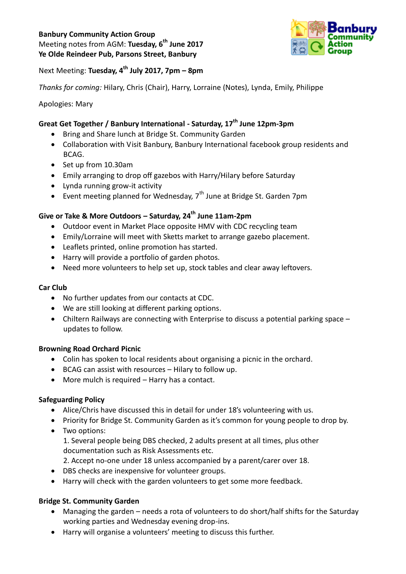## **Banbury Community Action Group**

Meeting notes from AGM: **Tuesday, 6 th June 2017 Ye Olde Reindeer Pub, Parsons Street, Banbury**



Next Meeting: **Tuesday, 4 th July 2017, 7pm – 8pm**

*Thanks for coming:* Hilary, Chris (Chair), Harry, Lorraine (Notes), Lynda, Emily, Philippe

## Apologies: Mary

# **Great Get Together / Banbury International - Saturday, 17th June 12pm-3pm**

- Bring and Share lunch at Bridge St. Community Garden
- Collaboration with Visit Banbury, Banbury International facebook group residents and BCAG.
- Set up from 10.30am
- Emily arranging to drop off gazebos with Harry/Hilary before Saturday
- Lynda running grow-it activity
- Event meeting planned for Wednesday,  $7<sup>th</sup>$  June at Bridge St. Garden 7pm

## **Give or Take & More Outdoors – Saturday, 24th June 11am-2pm**

- Outdoor event in Market Place opposite HMV with CDC recycling team
- Emily/Lorraine will meet with Sketts market to arrange gazebo placement.
- Leaflets printed, online promotion has started.
- Harry will provide a portfolio of garden photos.
- Need more volunteers to help set up, stock tables and clear away leftovers.

#### **Car Club**

- No further updates from our contacts at CDC.
- We are still looking at different parking options.
- Chiltern Railways are connecting with Enterprise to discuss a potential parking space updates to follow.

## **Browning Road Orchard Picnic**

- Colin has spoken to local residents about organising a picnic in the orchard.
- BCAG can assist with resources Hilary to follow up.
- More mulch is required Harry has a contact.

## **Safeguarding Policy**

- Alice/Chris have discussed this in detail for under 18's volunteering with us.
- Priority for Bridge St. Community Garden as it's common for young people to drop by.
- Two options:
	- 1. Several people being DBS checked, 2 adults present at all times, plus other documentation such as Risk Assessments etc.
	- 2. Accept no-one under 18 unless accompanied by a parent/carer over 18.
- DBS checks are inexpensive for volunteer groups.
- Harry will check with the garden volunteers to get some more feedback.

## **Bridge St. Community Garden**

- Managing the garden needs a rota of volunteers to do short/half shifts for the Saturday working parties and Wednesday evening drop-ins.
- Harry will organise a volunteers' meeting to discuss this further.